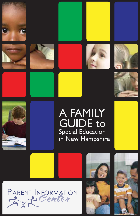











# A FAMILY **GUIDE to Special Education** in New Hampshire







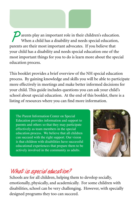**P** arents play an important role in their children's education. When a child has a disability and needs special education, parents are their most important advocates. If you believe that your child has a disability and needs special education one of the most important things for you to do is learn more about the special education process.

This booklet provides a brief overview of the NH special education process. By gaining knowledge and skills you will be able to participate more effectively in meetings and make better informed decisions for your child. This guide includes questions you can ask your child's school about special education. At the end of this booklet, there is a listing of resources where you can find more information.

The Parent Information Center on Special Education provides information and support to parents and others so that they may participate effectively as team members in the special education process. We believe that all children can succeed with the right support. Our vision is that children with disabilities have successful educational experiences that prepare them to be actively involved in the community as adults.



## **What is special education?**

Schools are for all children, helping them to develop socially, emotionally, physically, and academically. For some children with disabilities, school can be very challenging. However, with specially designed programs they too can succeed.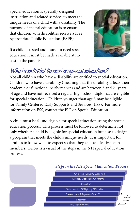Special education is specially designed instruction and related services to meet the unique needs of a child with a disability. The purpose of special education is to ensure that children with disabilities receive a Free Appropriate Public Education (FAPE).



If a child is tested and found to need special education it must be made available at no cost to the parents.

# **Who is entitled to receive special education?**

Not all children who have a disability are entitled to special education. Children who have a disability (meaning that the disability affects their academic or functional performance) and are between 3 and 21 years of age and have not received a regular high school diploma, are eligible for special education. Children younger than age 3 may be eligible for Family Centered Early Supports and Services (ESS). For more information on ESS, contact the PIC on Special Education.

A child must be found eligible for special education using the special education process. This process must be followed to determine not only whether a child is eligible for special education but also to design a program that meets the child's unique needs. It is important for families to know what to expect so that they can be effective team members. Below is a visual of the steps in the NH special education process.

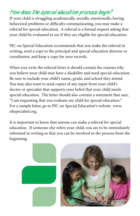# **How does the special education process begin?**

If your child is struggling academically, socially, emotionally, having behavioral problems or difficulty communicating, you may make a referral for special education. A referral is a formal request asking that your child be evaluated to see if they are eligible for special education.

PIC on Special Education recommends that you make the referral in writing, send a copy to the principal and special education director or coordinator, and keep a copy for your records.

When you write the referral letter it should contain the reasons why you believe your child may have a disability and need special education. Be sure to include your child's name, grade, and school they attend. You may also want to send copies of any input from your child's doctor or specialist that supports your belief that your child needs special education. The letter should also contain a statement that says, "I am requesting that you evaluate my child for special education." For a sample letter, go to PIC on Special Education's website www. nhspecialed.org.

It is important to know that anyone can make a referral for special education. If someone else refers your child, you are to be immediately informed in writing so that you can be involved in the process from the beginning.

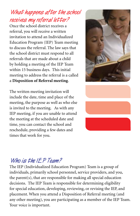# **What happens after the school receives my referral letter?**

Once the school district receives a referral, you will receive a written invitation to attend an Individualized Education Program (IEP) Team meeting to discuss the referral. The law says that the school district must respond to all referrals that are made about a child by holding a meeting of the IEP Team within 15 business days. This initial meeting to address the referral is a called a **Disposition of Referral meeting**.

The written meeting invitation will include the date, time and place of the meeting, the purpose as well as who else is invited to the meeting. As with any IEP meeting, if you are unable to attend the meeting at the scheduled date and time, you can contact the school and reschedule, providing a few dates and times that work for you.





## **Who is the IEP Team?**

The IEP (Individualized Education Program) Team is a group of individuals, primarily school personnel, service providers, and you, the parent(s), that are responsible for making all special education decisions. The IEP Team is responsible for determining eligibility for special education, developing, reviewing, or revising the IEP, and placement. When you attend a Disposition of Referral meeting (and any other meeting), you are participating as a member of the IEP Team. Your voice is important.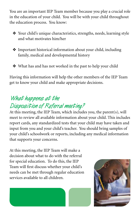You are an important IEP Team member because you play a crucial role in the education of your child. You will be with your child throughout the education process. You know:

- ❖ Your child's unique characteristics, strengths, needs, learning style and what motivates him/her
- ❖ Important historical information about your child, including family, medical and developmental history
- ❖ What has and has not worked in the past to help your child

Having this information will help the other members of the IEP Team get to know your child and make appropriate decisions.

# **What happens at the**

# **Disposition of Referral meeting?**

At this meeting, the IEP Team, which includes you, the parent(s), will meet to review all available information about your child. This includes report cards, any standardized tests that your child may have taken and input from you and your child's teacher. You should bring samples of your child's schoolwork or reports, including any medical information that supports your concerns.

At this meeting, the IEP Team will make a decision about what to do with the referral for special education. To do this, the IEP Team will first discuss whether your child's needs can be met through regular education services available to all children.



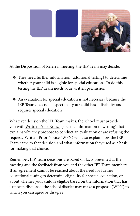

At the Disposition of Referral meeting, the IEP Team may decide:

- ❖ They need further information (additional testing) to determine whether your child is eligible for special education. To do this testing the IEP Team needs your written permission
- ❖ An evaluation for special education is not necessary because the IEP Team does not suspect that your child has a disability and requires special education

Whatever decision the IEP Team makes, the school must provide you with Written Prior Notice (specific information in writing) that explains why they propose to conduct an evaluation or are refusing the request. Written Prior Notice (WPN) will also explain how the IEP Team came to that decision and what information they used as a basis for making that choice.

Remember, IEP Team decisions are based on facts presented at the meeting and the feedback from you and the other IEP Team members. If an agreement cannot be reached about the need for further educational testing to determine eligibility for special education, or about whether your child is eligible based on the information that has just been discussed, the school district may make a proposal (WPN) to which you can agree or disagree.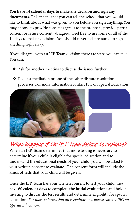#### **You have 14 calendar days to make any decision and sign any**

**documents.** This means that you can tell the school that you would like to think about what was given to you before you sign anything. You may choose to provide consent (agree) to the proposal, provide partial consent or refuse consent (disagree). Feel free to use some or all of the 14 days to make a decision. You should never feel pressured to sign anything right away.

If you disagree with an IEP Team decision there are steps you can take. You can:

- ❖ Ask for another meeting to discuss the issues further
- ❖ Request mediation or one of the other dispute resolution processes. For more information contact PIC on Special Education



# **What happens if the IEP Team decides to evaluate?**

When an IEP Team determines that more testing is necessary to determine if your child is eligible for special education and to understand the educational needs of your child, you will be asked for your written consent to evaluate. The consent form will include the kinds of tests that your child will be given.

Once the IEP Team has your written consent to test your child, they have **60 calendar days to complete the initial evaluations** and hold a meeting to discuss the test results and determine eligibility for special education. *For more information on reevaluations, please contact PIC on Special Education.*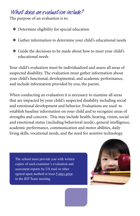#### **What does an evaluation include?**

The purpose of an evaluation is to:

❖ Determine eligibility for special education

- ❖ Gather information to determine your child's educational needs
- ❖ Guide the decisions to be made about how to meet your child's educational needs

Your child's evaluation must be individualized and assess all areas of suspected disability. The evaluation must gather information about your child's functional, developmental, and academic performance, and include information provided by you, the parent.

When conducting an evaluation it is necessary to examine all areas that are impacted by your child's suspected disability including social and emotional development and behavior. Evaluations are used to establish baseline information on your child and to recognize areas of strengths and concern. This may include health, hearing, vision, social and emotional status (including behavioral needs), general intelligence, academic performance, communication and motor abilities, daily living skills, vocational needs, and the need for assistive technology.

The school must provide you with written copies of each examiner's evaluation and assesment reports by US mail or other agreed upon method at least 5 days prior to the IEP Team meeting.

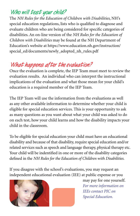### **Who will test your child?**

The *NH Rules for the Education of Children with Disabilities*, NH's special education regulations, lists who is qualified to diagnose and evaluate children who are being considered for specific categories of disabilities. An on-line version of the *NH Rules for the Education of Children with Disabilities* may be found at the NH Department of Education's website at https://www.education.nh.gov/instruction/ special\_ed/documents/newly\_adopted\_nh\_rules.pdf

# **What happens after the evaluation?**

Once the evaluation is complete, the IEP Team must meet to review the evaluation results. An individual who can interpret the instructional implications of the evaluation and what those mean for your child's education is a required member of the IEP Team.

The IEP Team will use the information from the evaluations as well as any other available information to determine whether your child is eligible for special education services. This is your opportunity to ask as many questions as you want about what your child was asked to do on each test, how your child learns and how the disability impacts your child in the classroom.

To be eligible for special education your child must have an educational disability and because of that disability, require special education and/or related services such as speech and language therapy, physical therapy etc. Your child will be indentified in one or more of the disability categories defined in the *NH Rules for the Education of Children with Disabilities.* 

If you disagree with the school's evaluations, you may request an independent educational evaluation (IEE) at public expense or you





may pay for one yourself. *For more information on IEEs contact PIC on Special Education.*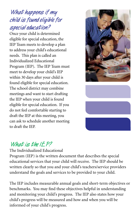# **What happens if my child is found eligible for special education?**

Once your child is determined eligible for special education, the IEP Team meets to develop a plan to address your child's educational needs. This plan is called an Individualized Educational Program (IEP). The IEP Team must meet to develop your child's IEP within 30 days after your child is found eligible for special education. The school district may combine meetings and want to start drafting the IEP when your child is found eligible for special education. If you do not feel comfortable starting to draft the IEP at this meeting, you can ask to schedule another meeting to draft the IEP.



# **What is the IEP?**

The Individualized Educational

Program (IEP) is the written document that describes the special educational services that your child will receive. The IEP should be written clearly so that you and your child's teachers/service providers understand the goals and services to be provided to your child.

The IEP includes measurable annual goals and short-term objectives or benchmarks. You may find these objectives helpful in understanding and monitoring your child's progress. The IEP also states how your child's progress will be measured and how and when you will be informed of your child's progress.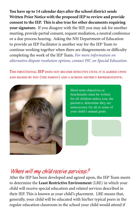**You have up to 14 calendar days after the school district sends Written Prior Notice with the proposed IEP to review and provide consent to the IEP. This is also true for other documents requiring your signature.** If you disagree with the IEP, you may ask for another meeting, provide partial consent, request mediation, a neutral conference or a due process hearing. Asking the NH Department of Education to provide an IEP Facilitator is another way for the IEP Team to continue working together when there are disagreements or difficulty completing the work of the IEP Team. *For more information on alternative dispute resolution options, contact PIC on Special Education.* 

**The first/initial IEP does not become effective until it is agreed upon and signed by you (the parent) and <sup>a</sup> school district representative.** 



Short-term objectives or benchmarks must be written for all children unless you, the parent(s), determine they are unnecessary for all or some of your child's annual goals.

#### **Where will my child receive services?**

After the IEP has been developed and agreed upon, the IEP Team meets to determine the **Least Restrictive Environment** (LRE) in which your child will receive special education and related services described in their IEP. This is known as your child's placement. LRE means that, generally, your child will be educated with his/her typical peers in the regular education classroom in the school your child would attend if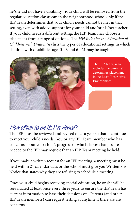he/she did not have a disability. Your child will be removed from the regular education classroom in the neighborhood school only if the IEP Team determines that your child's needs cannot be met in that setting, even with added support for your child and/or his/her teacher. If your child needs a different setting, the IEP Team may choose a placement from a range of options. The *NH Rules for the Education of Children with Disabilities* lists the types of educational settings in which children with disabilities ages 3 - 6 and 6 - 21 may be taught.



The IEP Team, which includes the parent(s), determines placement in the Least Restrictive Environment.

# **How often is an IEP reviewed?**

The IEP must be reviewed and revised once a year so that it continues to meet your child's needs. You or any IEP Team member who has concerns about your child's progress or who believes changes are needed to the IEP may request that an IEP Team meeting be held.

If you make a written request for an IEP meeting, a meeting must be held within 21 calendar days or the school must give you Written Prior Notice that states why they are refusing to schedule a meeting.

Once your child begins receiving special education, he or she will be reevaluated at least once every three years to ensure the IEP Team has current information to base their decisions on. Parents (and other IEP Team members) can request testing at anytime if there are any concerns.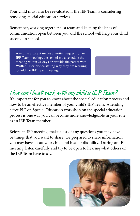Your child must also be reevaluated if the IEP Team is considering removing special education services.

Remember, working together as a team and keeping the lines of communication open between you and the school will help your child succeed in school.

Any time a parent makes a written request for an IEP Team meeting, the school must schedule the meeting within 21 days or provide the parent with Written Prior Notice stating why they are refusing to hold the IEP Team meeting.

# **How can I best work with my child's IEP Team?**

It's important for you to know about the special education process and how to be an effective member of your child's IEP Team. Attending a free PIC on Special Education workshop on the special education process is one way you can become more knowledgeable in your role as an IEP Team member.

Before an IEP meeting, make a list of any questions you may have or things that you want to share. Be prepared to share information you may have about your child and his/her disability. During an IEP meeting, listen carefully and try to be open to hearing what others on the IEP Team have to say.

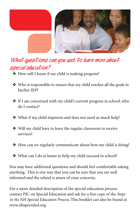

# **What questions can you ask to learn more about special education?**

- ❖ How will I know if my child is making progress?
- ❖ Who is responsible to ensure that my child reaches all the goals in his/her IEP?
- ❖ If I am concerned with my child's current progress in school, who do I contact?
- ❖ What if my child improves and does not need as much help?
- ❖ Will my child have to leave the regular classroom to receive services?
- ❖ How can we regularly communicate about how my child is doing?
- ❖ What can I do at home to help my child succeed in school?

You may have additional questions and should feel comfortable asking anything. This is one way that you can be sure that you are well informed and the school is aware of your concerns.

For a more detailed description of the special education process contact PIC on Special Education and ask for a free copy of the *Steps in the NH Special Education Process*. This booklet can also be found at www.nhspecialed.org.